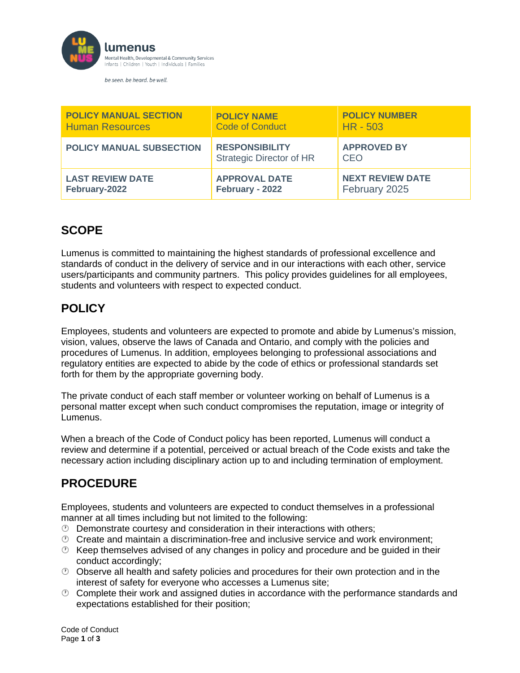

be seen. be heard. be well.

| <b>POLICY MANUAL SECTION</b>    | <b>POLICY NAME</b>                                       | <b>POLICY NUMBER</b>      |
|---------------------------------|----------------------------------------------------------|---------------------------|
| <b>Human Resources</b>          | <b>Code of Conduct</b>                                   | $HR - 503$                |
| <b>POLICY MANUAL SUBSECTION</b> | <b>RESPONSIBILITY</b><br><b>Strategic Director of HR</b> | <b>APPROVED BY</b><br>CEO |
| <b>LAST REVIEW DATE</b>         | <b>APPROVAL DATE</b>                                     | <b>NEXT REVIEW DATE</b>   |
| February-2022                   | February - 2022                                          | February 2025             |

## **SCOPE**

Lumenus is committed to maintaining the highest standards of professional excellence and standards of conduct in the delivery of service and in our interactions with each other, service users/participants and community partners. This policy provides guidelines for all employees, students and volunteers with respect to expected conduct.

# **POLICY**

Employees, students and volunteers are expected to promote and abide by Lumenus's mission, vision, values, observe the laws of Canada and Ontario, and comply with the policies and procedures of Lumenus. In addition, employees belonging to professional associations and regulatory entities are expected to abide by the code of ethics or professional standards set forth for them by the appropriate governing body.

The private conduct of each staff member or volunteer working on behalf of Lumenus is a personal matter except when such conduct compromises the reputation, image or integrity of Lumenus.

When a breach of the Code of Conduct policy has been reported, Lumenus will conduct a review and determine if a potential, perceived or actual breach of the Code exists and take the necessary action including disciplinary action up to and including termination of employment.

### **PROCEDURE**

Employees, students and volunteers are expected to conduct themselves in a professional manner at all times including but not limited to the following:

- $\circled{D}$  Demonstrate courtesy and consideration in their interactions with others;
- $\heartsuit$  Create and maintain a discrimination-free and inclusive service and work environment;
- $\heartsuit$  Keep themselves advised of any changes in policy and procedure and be guided in their conduct accordingly;
- $\circled{0}$  Observe all health and safety policies and procedures for their own protection and in the interest of safety for everyone who accesses a Lumenus site;
- $\heartsuit$  Complete their work and assigned duties in accordance with the performance standards and expectations established for their position;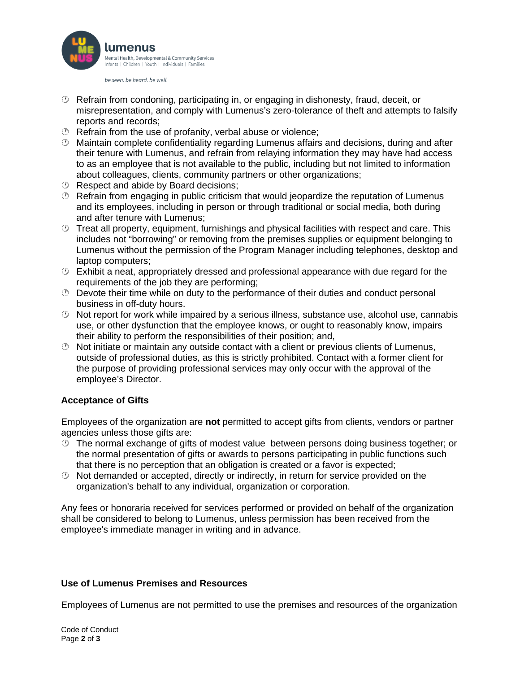

be seen. be heard. be well.

- $\heartsuit$  Refrain from condoning, participating in, or engaging in dishonesty, fraud, deceit, or misrepresentation, and comply with Lumenus's zero-tolerance of theft and attempts to falsify reports and records;
- $\circled{e}$  Refrain from the use of profanity, verbal abuse or violence;
- Maintain complete confidentiality regarding Lumenus affairs and decisions, during and after their tenure with Lumenus, and refrain from relaying information they may have had access to as an employee that is not available to the public, including but not limited to information about colleagues, clients, community partners or other organizations;
- *®* Respect and abide by Board decisions;
- $\heartsuit$  Refrain from engaging in public criticism that would jeopardize the reputation of Lumenus and its employees, including in person or through traditional or social media, both during and after tenure with Lumenus;
- $\circled{2}$  Treat all property, equipment, furnishings and physical facilities with respect and care. This includes not "borrowing" or removing from the premises supplies or equipment belonging to Lumenus without the permission of the Program Manager including telephones, desktop and laptop computers;
- $\circled{2}$  Exhibit a neat, appropriately dressed and professional appearance with due regard for the requirements of the job they are performing;
- $\heartsuit$  Devote their time while on duty to the performance of their duties and conduct personal business in off-duty hours.
- $\heartsuit$  Not report for work while impaired by a serious illness, substance use, alcohol use, cannabis use, or other dysfunction that the employee knows, or ought to reasonably know, impairs their ability to perform the responsibilities of their position; and,
- $\odot$  Not initiate or maintain any outside contact with a client or previous clients of Lumenus, outside of professional duties, as this is strictly prohibited. Contact with a former client for the purpose of providing professional services may only occur with the approval of the employee's Director.

### **Acceptance of Gifts**

Employees of the organization are **not** permitted to accept gifts from clients, vendors or partner agencies unless those gifts are:

- $\circled{2}$  The normal exchange of gifts of modest value between persons doing business together; or the normal presentation of gifts or awards to persons participating in public functions such that there is no perception that an obligation is created or a favor is expected;
- $\odot$  Not demanded or accepted, directly or indirectly, in return for service provided on the organization's behalf to any individual, organization or corporation.

Any fees or honoraria received for services performed or provided on behalf of the organization shall be considered to belong to Lumenus, unless permission has been received from the employee's immediate manager in writing and in advance.

#### **Use of Lumenus Premises and Resources**

Employees of Lumenus are not permitted to use the premises and resources of the organization